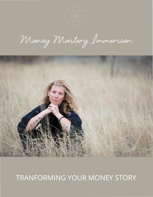

Money Mastery Immersion



# TRANFORMING YOUR MONEY STORY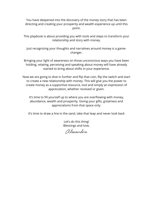You have deepened into the discovery of the money story that has been directing and creating your prosperity and wealth experience up until this point.

This playbook is about providing you with tools and steps to transform your relationship and story with money.

Just recognizing your thoughts and narratives around money is a gamechanger.

Bringing your light of awareness on those unconscious ways you have been holding, relating, perceiving and speaking about money will have already started to bring about shifts in your experience.

Now we are going to dive in further and flip that coin, flip the switch and start to create a new relationship with money. This will give you the power to create money as a supportive resource, tool and simply an expression of appreciation, whether received or given.

It's time to fill yourself up to where you are overflowing with money, abundance, wealth and prosperity. Giving your gifts, greatness and appreciations from that space only.

It's time to draw a line in the sand, take that leap and never look back

Let's do this thing! Blessings and love,

Alexandra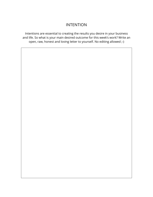# INTENTION

Intentions are essential to creating the results you desire in your business and life. So what is your main desired outcome for this week's work? Write an open, raw, honest and loving letter to yourself. No editing allowed ;-)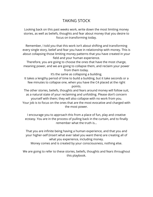# TAKING STOCK

Looking back on this past weeks work, write down the most limiting money stories, as well as beliefs, thoughts and fear about money that you desire to focus on transforming today.

Remember, I told you that this work isn't about shifting and transforming every single story, belief and fear you have in relationship with money. This is about collapsing those limiting money patterns that you have created in your field and your human experience.

Therefore, you are going to choose the ones that have the most charge, meaning power, and we are going to collapse them, and reclaim your power from them today.

It's the same as collapsing a building.

It takes a lengthy period of time to build a building, but it take seconds or a few minutes to collapse one, when you have the C4 placed at the right points.

The other stories, beliefs, thoughts and fears around money will follow suit, as a natural state of your reclaiming and unfolding. Please don't concern yourself with them; they will also collapse with no work from you. Your job is to focus on the ones that are the most evocative and charged with the most power.

I encourage you to approach this from a place of fun, play and creative ecstasy. You are in the process of pulling back in the curtain, and to finally remember what the truth is…

That you are infinite being having a human experience, and that you and your higher-self (insert what ever label you want there) are creating all of what you experience, including money.

Money comes and is created by your consciousness, nothing else.

We are going to refer to these stories, beliefs, thoughts and fears throughout this playbook.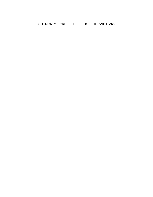## OLD MONEY STORIES, BELIEFS, THOUGHTS AND FEARS

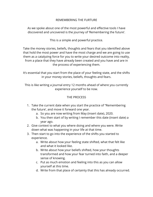#### REMEMBERING THE FURTURE

As we spoke about one of the most powerful and effective tools I have discovered and uncovered is the journey of 'Remembering the future'.

This is a simple and powerful practice.

Take the money stories, beliefs, thoughts and fears that you identified above that hold the most power and have the most charge and we are going to use them as a catalyzing force for you to write your desired outcome into reality, from a place that they have already been created and you have and are in the process of experiencing them.

It's essential that you start from the place of your feeling state, and the shifts in your money stories, beliefs, thoughts and fears.

This is like writing a journal entry 12 months ahead of where you currently experience yourself to be now.

#### THE PROCESS

- 1. Take the current date when you start the practice of "Remembering the future', and move it forward one year.
	- a. So you are now writing from May (insert date), 2020.
	- b. You then start of by writing I remember this date (insert date) a year ago.
- 2. Give context to what you where doing and where you were. Write down what was happening in your life at that time.
- 3. Then start to go into the experience of the shifts you started to experience.
	- a. Write about how your feeling state shifted, what that felt like and what it looked like.
	- b. Write about how your beliefs shifted, how your thoughts transformed and how your fear turned into faith, and a deeper sense of knowing.
	- c. Put as much emotion and feeling into this as you can allow yourself at this time.
	- d. Write from that place of certainty that this has already occurred.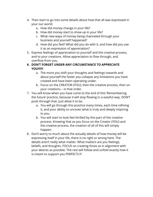- 4. Then start to go into some details about how that all was expressed in your our world.
	- a. How did money change in your life?
	- b. How did money start to show up in your life?
	- c. What new ways of money being channeled through your business and yourself happened?
	- d. How did you feel? What did you do with it, and how did you use it as an expression of appreciation?
- 5. Express feelings of appreciation to yourself and the creative process, and to your creations. Allow appreciation to flow through, and overflow from you.
- **6. DON'T FORGET UNDER ANY CIRCUMSTANCE TO APPRECIATE YOU!!!!!!** 
	- a. The more you shift your thoughts and feelings towards and about yourself the faster you collapse any limitations you have created and have been operating under.
	- b. Focus on the CREATOR (YOU), then the creative process, then on your creations – in that order.
- 7. You will know when you have come to the end of this 'Remembering the future' practice, because it will stop flowing in a easeful way. DON'T push through that. Just allow it to be.
	- a. You will go through this practice many times, each time refining it, and your ability to uncover what is truly and deeply inspiring to you.
	- b. You will start to look feel thrilled by this part of the creative process. Knowing that as you focus on the Creator (YOU) and the creative process, the creation of all of this will simply happen.
- 8. Don't worry to much about the actually details of how money will be expressing itself in your life, there is no right or wrong here. The details aren't really what matter. What matters are you feelings, beliefs, and thoughts. FOCUS on creating those as in alignment with your desires as possible. The rest will follow and unfold exactly how it is meant to support you PERFECTLY!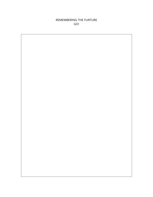#### REMEMBERING THE FURTURE GO!

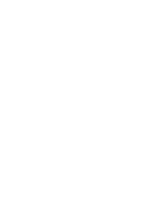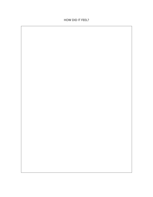#### HOW DID IT FEEL?

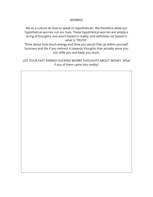#### **WORRIES**

We as a culture do love to speak in hypotheticals. We therefore allow our hypothetical worries run our lives. These hypothetical worries are simply a string of thoughts, and aren't based in reality, and definitely not based in what is 'TRUTH'.

Think about how much energy and time you would free up within yourself, business and life if you redirect it towards thoughts that actually serve you not stifle you and keep you stuck.

LIST YOUR PAST ENERGY-SUCKING WORRY THOUGHTS ABOUT MONEY. What if any of them came into reality?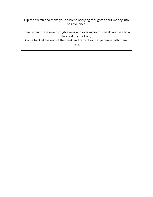Flip the switch and make your current worrying thoughts about money into positive ones.

Then repeat these new thoughts over and over again this week, and see how they feel in your body.

Come back at the end of the week and record your experience with them, here.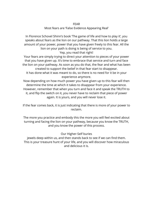#### FEAR

Most fears are 'False Evidence Appearing Real'

In Florence Schovel Shinn's book 'The game of life and how to play it', you speaks about fears as the lion on our pathway. That this lion holds a large amount of your power, power that you have given freely to this fear. All the lion on your path is doing is being of service to you. Yep, you read that right!

Your fears are simply trying to direct your attention to pieces of your power that you have given up. It's time to embrace that service and turn and face the lion on your pathway. As soon as you do that, the fear and what has been created to support the belief in that fear start to disappear.

It has done what it was meant to do, so there is no need for it be in your experience anymore.

Now depending on how much power you have given up to this fear will then determine the time at which it takes to disappear from your experience. However, remember that when you turn and face it and speak the TRUTH to it, and flip the switch on it, you never have to reclaim that piece of power again. It is yours, and you will never lose it.

If the fear comes back, it is just indicating that there is more of your power to reclaim.

The more you practice and embody this the more you will feel excited about turning and facing the lion on your pathway, because you know the TRUTH, and you know the power of this process.

Our Higher-Self buries

jewels deep within us, and then stands back to see if we can find them. This is your treasure hunt of your life, and you will discover how miraculous and delicious it is.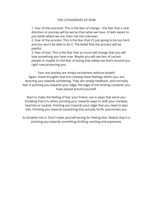#### THE CATAGEROIES OF FEAR

1. Fear of the outcome: This is the fear of change – the fear that a new direction or journey will be worse than what we have. It feels easier to just settle where we are, than risk the unknown.

2. Fear of the process: This is the fear that it's just going to be too hard and you won't be able to do it. The belief that the process will be painful.

3. Fear of loss: This is the fear that so much will change that you will lose something you have now. Maybe you will see less of certain people or maybe it's the fear of losing that safety net that's around you right now protecting you.

Fear and anxiety are simply excitement without breath! Again, these thoughts that are creating these feelings within you, are directing you towards something. They are simply feedback, and normally fear is pointing you towards your edge, the edge of the limiting container you have placed around yourself.

Start to make the feeling of fear your friend, use in ways that serve you. Knowing that it is either pointing your towards ways to shift your mindset, heartset or soulset. Pointing you towards your edge that you need to lean into. Pointing you towards something that actually thrills and excites you.

So breathe into it. Don't make yourself wrong for feeling fear. Realize that it is pointing you towards something thrilling, exciting and expansive.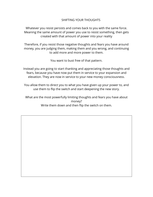#### SHIFTING YOUR THOUGHTS

Whatever you resist persists and comes back to you with the same force. Meaning the same amount of power you use to resist something, then gets created with that amount of power into your reality

Therefore, if you resist those negative thoughts and fears you have around money, you are judging them, making them and you wrong, and continuing to add more and more power to them.

You want to bust free of that pattern.

Instead you are going to start thanking and appreciating those thoughts and fears, because you have now put them in service to your expansion and elevation. They are now in service to your new money consciousness.

You allow them to direct you to what you have given up your power to, and use them to flip the switch and start deepening the new story.

What are the most powerfully limiting thoughts and fears you have about money? Write them down and then flip the switch on them.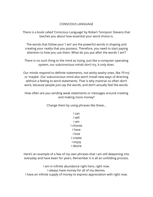#### CONSCIOUS LANGUAGE

There is a book called 'Conscious Language' by Robert Tennyson Stevens that teaches you about how essential your word choice is.

The words that follow your 'I am' are the powerful words in shaping and creating your reality that you possess. Therefore, you need to start paying attention to how you use them. What do you put after the words 'I am'?

There is no such thing to the mind as trying. Just like a computer operating system, our subconscious minds don't try, it only does.

Our minds respond to definite statements, not wishy washy ones, like 'I'll try' or 'maybe'. Our subconscious mind also won't install new ways of directing without a feeling to word statements. That is why mantras so often don't work, because people just say the words, and don't actually feel the words.

How often are you sending weak statements or messages around creating and making more money?

Change them by using phrases like these…

I can I will I am I choose I have I love I create I enjoy I desire

Here's an example of a few of my own phrases that I am still deepening into everyday and have been for years. Remember it is all an unfolding process.

I am in infinite abundance right here, right now. I always have money for all of my desires. I have an infinite supply of money to express appreciation with right now.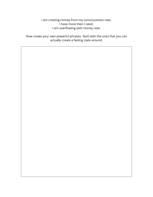I am creating money from my consciousness now. I have more then I need. I am overflowing with money now.

Now create your own powerful phrases. Start with the ones that you can actually create a feeling state around.

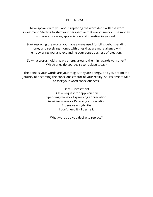#### REPLACING WORDS

I have spoken with you about replacing the word debt, with the word investment. Starting to shift your perspective that every time you use money you are expressing appreciation and investing in yourself.

Start replacing the words you have always used for bills, debt, spending money and receiving money with ones that are more aligned with empowering you, and expanding your consciousness of creation.

So what words hold a heavy energy around them in regards to money? Which ones do you desire to replace today?

The point is your words are your magic, they are energy, and you are on the journey of becoming the conscious creator of your reality. So, it's time to take to task your word consciousness.

> Debt – Investment Bills – Request for appreciation Spending money – Expressing appreciation Receiving money – Receiving appreciation Expensive – High vibe I don't need it – I desire it

What words do you desire to replace?

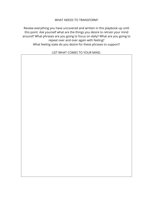#### WHAT NEEDS TO TRANSFORM?

Review everything you have uncovered and written in this playbook up until this point. Ask yourself what are the things you desire to retrain your mind around? What phrases are you going to focus on daily? What are you going to repeat over and over again with feeling? What feeling state do you desire for these phrases to support?

#### LIST WHAT COMES TO YOUR MIND.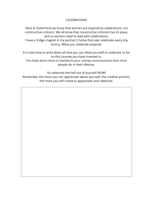#### CELEBRATIONS

Here at Sistermind we know that women are inspired by celebrations, not constructive criticism. We all know that constructive criticism has its place, and us women need to lead with celebrations.

I have a fridge magnet in my partner's home that says celebrate every tiny victory. What you celebrate expands.

It is now time to write down all that you can allow yourself to celebrate so far on this journey you have invested in.

You have done more to transform your money consciousness than most people do in their lifetime.

So celebrate the hell out of yourself NOW!

Remember the more you can appreciate about yourself, the creative process, the more you will create to appreciate and celebrate.